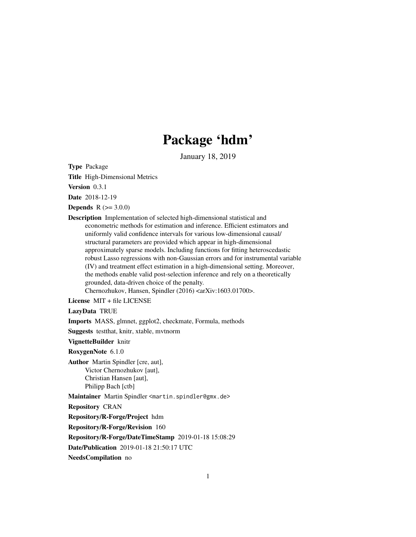# Package 'hdm'

January 18, 2019

<span id="page-0-0"></span>Type Package

Title High-Dimensional Metrics

Version 0.3.1

Date 2018-12-19

**Depends**  $R (= 3.0.0)$ 

Description Implementation of selected high-dimensional statistical and econometric methods for estimation and inference. Efficient estimators and uniformly valid confidence intervals for various low-dimensional causal/ structural parameters are provided which appear in high-dimensional approximately sparse models. Including functions for fitting heteroscedastic robust Lasso regressions with non-Gaussian errors and for instrumental variable (IV) and treatment effect estimation in a high-dimensional setting. Moreover, the methods enable valid post-selection inference and rely on a theoretically grounded, data-driven choice of the penalty.

Chernozhukov, Hansen, Spindler (2016) <arXiv:1603.01700>.

License MIT + file LICENSE

LazyData TRUE

Imports MASS, glmnet, ggplot2, checkmate, Formula, methods

Suggests testthat, knitr, xtable, mvtnorm

VignetteBuilder knitr

RoxygenNote 6.1.0

Author Martin Spindler [cre, aut], Victor Chernozhukov [aut], Christian Hansen [aut], Philipp Bach [ctb]

Maintainer Martin Spindler <martin.spindler@gmx.de>

Repository CRAN

Repository/R-Forge/Project hdm

Repository/R-Forge/Revision 160

Repository/R-Forge/DateTimeStamp 2019-01-18 15:08:29

Date/Publication 2019-01-18 21:50:17 UTC

NeedsCompilation no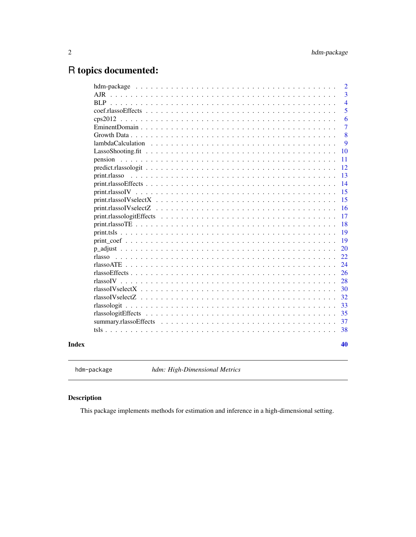# <span id="page-1-0"></span>R topics documented:

|                                                                                                              |  |  |  |  |  |  |  |  |  |  |  |  | $\overline{2}$ |
|--------------------------------------------------------------------------------------------------------------|--|--|--|--|--|--|--|--|--|--|--|--|----------------|
|                                                                                                              |  |  |  |  |  |  |  |  |  |  |  |  | 3              |
| RLP.                                                                                                         |  |  |  |  |  |  |  |  |  |  |  |  | $\overline{4}$ |
|                                                                                                              |  |  |  |  |  |  |  |  |  |  |  |  | 5              |
|                                                                                                              |  |  |  |  |  |  |  |  |  |  |  |  | 6              |
|                                                                                                              |  |  |  |  |  |  |  |  |  |  |  |  | $\overline{7}$ |
|                                                                                                              |  |  |  |  |  |  |  |  |  |  |  |  | 8              |
|                                                                                                              |  |  |  |  |  |  |  |  |  |  |  |  | 9              |
|                                                                                                              |  |  |  |  |  |  |  |  |  |  |  |  | 10             |
|                                                                                                              |  |  |  |  |  |  |  |  |  |  |  |  | 11             |
|                                                                                                              |  |  |  |  |  |  |  |  |  |  |  |  | 12             |
| print.rlasso                                                                                                 |  |  |  |  |  |  |  |  |  |  |  |  | 13             |
| $print. rlasso Effects \ldots \ldots \ldots \ldots \ldots \ldots \ldots \ldots \ldots \ldots \ldots \ldots$  |  |  |  |  |  |  |  |  |  |  |  |  | 14             |
|                                                                                                              |  |  |  |  |  |  |  |  |  |  |  |  | 15             |
| $print. rlassoIVselectX \dots \dots \dots \dots \dots \dots \dots \dots \dots \dots \dots \dots \dots \dots$ |  |  |  |  |  |  |  |  |  |  |  |  | 15             |
|                                                                                                              |  |  |  |  |  |  |  |  |  |  |  |  | 16             |
|                                                                                                              |  |  |  |  |  |  |  |  |  |  |  |  | 17             |
|                                                                                                              |  |  |  |  |  |  |  |  |  |  |  |  | 18             |
|                                                                                                              |  |  |  |  |  |  |  |  |  |  |  |  | 19             |
|                                                                                                              |  |  |  |  |  |  |  |  |  |  |  |  | 19             |
|                                                                                                              |  |  |  |  |  |  |  |  |  |  |  |  | 20             |
| rlasso                                                                                                       |  |  |  |  |  |  |  |  |  |  |  |  | 22             |
|                                                                                                              |  |  |  |  |  |  |  |  |  |  |  |  | 24             |
|                                                                                                              |  |  |  |  |  |  |  |  |  |  |  |  | 26             |
|                                                                                                              |  |  |  |  |  |  |  |  |  |  |  |  | 28             |
|                                                                                                              |  |  |  |  |  |  |  |  |  |  |  |  | 30             |
|                                                                                                              |  |  |  |  |  |  |  |  |  |  |  |  | 32             |
|                                                                                                              |  |  |  |  |  |  |  |  |  |  |  |  | 33             |
|                                                                                                              |  |  |  |  |  |  |  |  |  |  |  |  | 35             |
|                                                                                                              |  |  |  |  |  |  |  |  |  |  |  |  | 37             |
|                                                                                                              |  |  |  |  |  |  |  |  |  |  |  |  | 38             |
|                                                                                                              |  |  |  |  |  |  |  |  |  |  |  |  |                |
|                                                                                                              |  |  |  |  |  |  |  |  |  |  |  |  | 40             |
|                                                                                                              |  |  |  |  |  |  |  |  |  |  |  |  |                |

hdm-package *hdm: High-Dimensional Metrics*

# Description

This package implements methods for estimation and inference in a high-dimensional setting.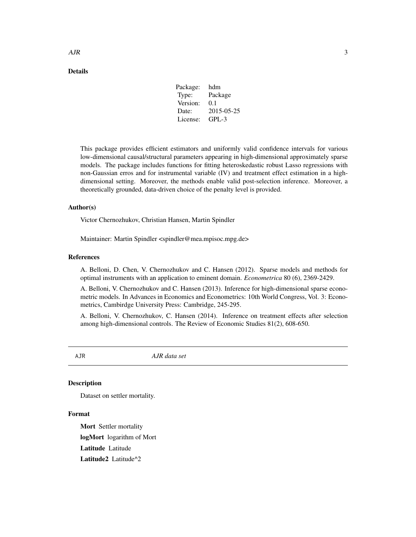# <span id="page-2-0"></span>Details

| Package: | hdm        |
|----------|------------|
| Type:    | Package    |
| Version: | 0.1        |
| Date:    | 2015-05-25 |
| License: | GPL-3      |
|          |            |

This package provides efficient estimators and uniformly valid confidence intervals for various low-dimensional causal/structural parameters appearing in high-dimensional approximately sparse models. The package includes functions for fitting heteroskedastic robust Lasso regressions with non-Gaussian erros and for instrumental variable (IV) and treatment effect estimation in a highdimensional setting. Moreover, the methods enable valid post-selection inference. Moreover, a theoretically grounded, data-driven choice of the penalty level is provided.

#### Author(s)

Victor Chernozhukov, Christian Hansen, Martin Spindler

Maintainer: Martin Spindler <spindler@mea.mpisoc.mpg.de>

#### References

A. Belloni, D. Chen, V. Chernozhukov and C. Hansen (2012). Sparse models and methods for optimal instruments with an application to eminent domain. *Econometrica* 80 (6), 2369-2429.

A. Belloni, V. Chernozhukov and C. Hansen (2013). Inference for high-dimensional sparse econometric models. In Advances in Economics and Econometrics: 10th World Congress, Vol. 3: Econometrics, Cambirdge University Press: Cambridge, 245-295.

A. Belloni, V. Chernozhukov, C. Hansen (2014). Inference on treatment effects after selection among high-dimensional controls. The Review of Economic Studies 81(2), 608-650.

AJR *AJR data set*

# **Description**

Dataset on settler mortality.

# Format

Mort Settler mortality logMort logarithm of Mort Latitude Latitude Latitude2 Latitude^2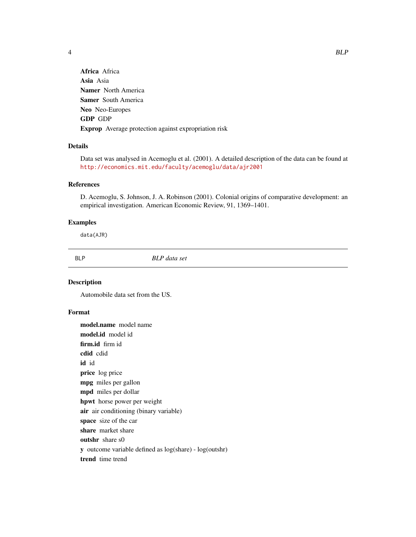<span id="page-3-0"></span>

Africa Africa Asia Asia Namer North America Samer South America Neo Neo-Europes GDP GDP Exprop Average protection against expropriation risk

# Details

Data set was analysed in Acemoglu et al. (2001). A detailed description of the data can be found at <http://economics.mit.edu/faculty/acemoglu/data/ajr2001>

# References

D. Acemoglu, S. Johnson, J. A. Robinson (2001). Colonial origins of comparative development: an empirical investigation. American Economic Review, 91, 1369–1401.

#### Examples

data(AJR)

BLP *BLP data set*

# Description

Automobile data set from the US.

# Format

model.name model name model.id model id firm.id firm id cdid cdid id id price log price mpg miles per gallon mpd miles per dollar hpwt horse power per weight air air conditioning (binary variable) space size of the car share market share outshr share s0 y outcome variable defined as log(share) - log(outshr) trend time trend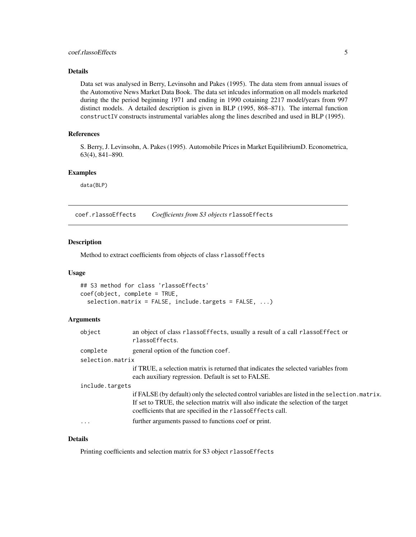# <span id="page-4-0"></span>Details

Data set was analysed in Berry, Levinsohn and Pakes (1995). The data stem from annual issues of the Automotive News Market Data Book. The data set inlcudes information on all models marketed during the the period beginning 1971 and ending in 1990 cotaining 2217 model/years from 997 distinct models. A detailed description is given in BLP (1995, 868–871). The internal function constructIV constructs instrumental variables along the lines described and used in BLP (1995).

# References

S. Berry, J. Levinsohn, A. Pakes (1995). Automobile Prices in Market EquilibriumD. Econometrica, 63(4), 841–890.

# Examples

data(BLP)

coef.rlassoEffects *Coefficients from S3 objects* rlassoEffects

# Description

Method to extract coefficients from objects of class rlassoEffects

#### Usage

```
## S3 method for class 'rlassoEffects'
coef(object, complete = TRUE,
  selection.matrix = FALSE, include.targets = FALSE, ...)
```
#### Arguments

| object           | an object of class rlassoEffects, usually a result of a call rlassoEffect or<br>rlassoEffects.                                                                                                                                                       |
|------------------|------------------------------------------------------------------------------------------------------------------------------------------------------------------------------------------------------------------------------------------------------|
| complete         | general option of the function coef.                                                                                                                                                                                                                 |
| selection.matrix |                                                                                                                                                                                                                                                      |
|                  | if TRUE, a selection matrix is returned that indicates the selected variables from<br>each auxiliary regression. Default is set to FALSE.                                                                                                            |
| include.targets  |                                                                                                                                                                                                                                                      |
|                  | if FALSE (by default) only the selected control variables are listed in the selection. matrix.<br>If set to TRUE, the selection matrix will also indicate the selection of the target<br>coefficients that are specified in the rlasso Effects call. |
| $\cdot$          | further arguments passed to functions coef or print.                                                                                                                                                                                                 |

# Details

Printing coefficients and selection matrix for S3 object rlassoEffects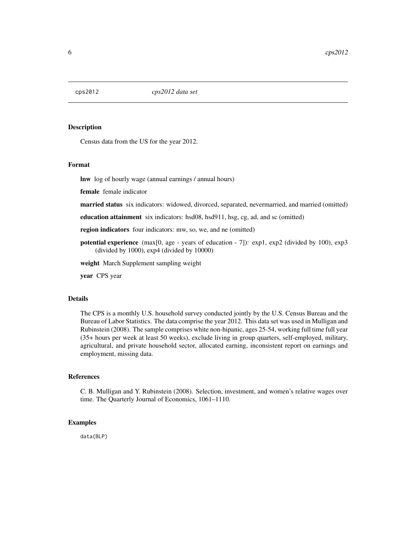<span id="page-5-0"></span>

# Description

Census data from the US for the year 2012.

# Format

lnw log of hourly wage (annual earnings / annual hours)

female female indicator

married status six indicators: widowed, divorced, separated, nevermarried, and married (omitted)

education attainment six indicators: hsd08, hsd911, hsg, cg, ad, and sc (omitted)

region indicators four indicators: mw, so, we, and ne (omitted)

potential experience (max[0, age - years of education - 7]): exp1, exp2 (divided by 100), exp3 (divided by 1000), exp4 (divided by 10000)

weight March Supplement sampling weight

year CPS year

# Details

The CPS is a monthly U.S. household survey conducted jointly by the U.S. Census Bureau and the Bureau of Labor Statistics. The data comprise the year 2012. This data set was used in Mulligan and Rubinstein (2008). The sample comprises white non-hipanic, ages 25-54, working full time full year (35+ hours per week at least 50 weeks), exclude living in group quarters, self-employed, military, agricultural, and private household sector, allocated earning, inconsistent report on earnings and employment, missing data.

# References

C. B. Mulligan and Y. Rubinstein (2008). Selection, investment, and women's relative wages over time. The Quarterly Journal of Economics, 1061–1110.

## Examples

data(BLP)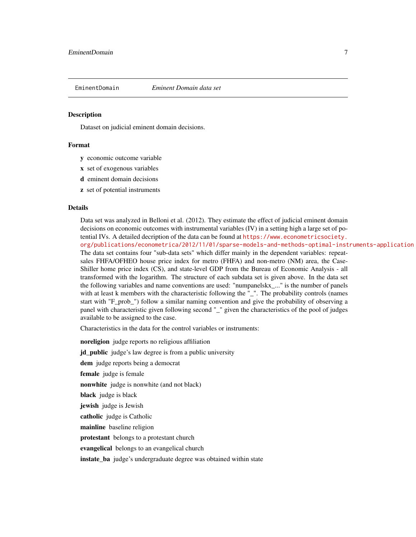<span id="page-6-0"></span>

#### **Description**

Dataset on judicial eminent domain decisions.

# Format

- y economic outcome variable
- x set of exogenous variables
- d eminent domain decisions
- z set of potential instruments

#### Details

Data set was analyzed in Belloni et al. (2012). They estimate the effect of judicial eminent domain decisions on economic outcomes with instrumental variables (IV) in a setting high a large set of potential IVs. A detailed decription of the data can be found at [https://www.econometricsociety.](https://www.econometricsociety.org/publications/econometrica/2012/11/01/sparse-models-and-methods-optimal-instruments-application) [org/publications/econometrica/2012/11/01/sparse-models-and-methods-optimal-instruments-application](https://www.econometricsociety.org/publications/econometrica/2012/11/01/sparse-models-and-methods-optimal-instruments-application) The data set contains four "sub-data sets" which differ mainly in the dependent variables: repeatsales FHFA/OFHEO house price index for metro (FHFA) and non-metro (NM) area, the Case-Shiller home price index (CS), and state-level GDP from the Bureau of Economic Analysis - all transformed with the logarithm. The structure of each subdata set is given above. In the data set the following variables and name conventions are used: "numpanelskx\_..." is the number of panels with at least k members with the characteristic following the "\_". The probability controls (names start with "F\_prob\_") follow a similar naming convention and give the probability of observing a panel with characteristic given following second "\_" given the characteristics of the pool of judges available to be assigned to the case.

Characteristics in the data for the control variables or instruments:

noreligion judge reports no religious affiliation id public judge's law degree is from a public university dem judge reports being a democrat female judge is female nonwhite judge is nonwhite (and not black) black judge is black jewish judge is Jewish catholic judge is Catholic mainline baseline religion protestant belongs to a protestant church evangelical belongs to an evangelical church instate\_ba judge's undergraduate degree was obtained within state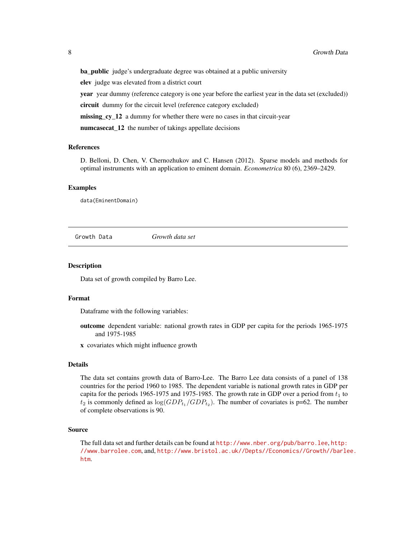<span id="page-7-0"></span>**ba\_public** judge's undergraduate degree was obtained at a public university elev judge was elevated from a district court **year** year dummy (reference category is one year before the earliest year in the data set (excluded)) circuit dummy for the circuit level (reference category excluded) missing cy 12 a dummy for whether there were no cases in that circuit-year numcasecat\_12 the number of takings appellate decisions

#### References

D. Belloni, D. Chen, V. Chernozhukov and C. Hansen (2012). Sparse models and methods for optimal instruments with an application to eminent domain. *Econometrica* 80 (6), 2369–2429.

#### Examples

data(EminentDomain)

Growth Data *Growth data set*

**Description** 

Data set of growth compiled by Barro Lee.

#### Format

Dataframe with the following variables:

outcome dependent variable: national growth rates in GDP per capita for the periods 1965-1975 and 1975-1985

x covariates which might influence growth

#### Details

The data set contains growth data of Barro-Lee. The Barro Lee data consists of a panel of 138 countries for the period 1960 to 1985. The dependent variable is national growth rates in GDP per capita for the periods 1965-1975 and 1975-1985. The growth rate in GDP over a period from  $t_1$  to  $t_2$  is commonly defined as  $\log(GDP_{t_1}/GDP_{t_2})$ . The number of covariates is p=62. The number of complete observations is 90.

# Source

The full data set and further details can be found at <http://www.nber.org/pub/barro.lee>, [http:](http://www.barrolee.com) [//www.barrolee.com](http://www.barrolee.com), and, [http://www.bristol.ac.uk//Depts//Economics//Growth//barle](http://www.bristol.ac.uk//Depts//Economics//Growth//barlee.htm)e. [htm](http://www.bristol.ac.uk//Depts//Economics//Growth//barlee.htm).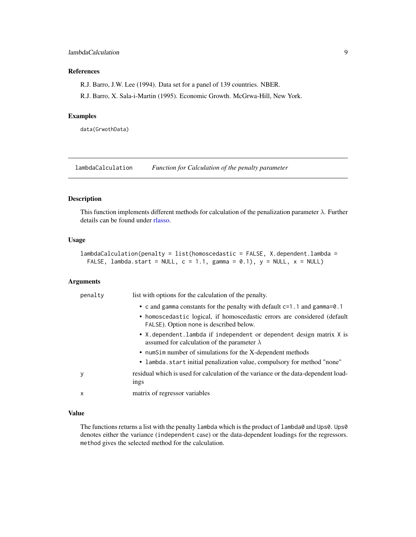# <span id="page-8-0"></span>lambdaCalculation 9

# References

R.J. Barro, J.W. Lee (1994). Data set for a panel of 139 countries. NBER.

R.J. Barro, X. Sala-i-Martin (1995). Economic Growth. McGrwa-Hill, New York.

#### Examples

data(GrwothData)

lambdaCalculation *Function for Calculation of the penalty parameter*

# Description

This function implements different methods for calculation of the penalization parameter  $\lambda$ . Further details can be found under [rlasso.](#page-21-1)

#### Usage

```
lambdaCalculation(penalty = list(homoscedastic = FALSE, X.dependent.lambda =
 FALSE, lambda.start = NULL, c = 1.1, gamma = 0.1), y = NULL, x = NULL
```
# Arguments

| penalty | list with options for the calculation of the penalty.                                                                     |
|---------|---------------------------------------------------------------------------------------------------------------------------|
|         | • c and gamma constants for the penalty with default $c=1$ . 1 and gamma=0.1                                              |
|         | • homoscedastic logical, if homoscedastic errors are considered (default<br>FALSE). Option none is described below.       |
|         | • X.dependent.lambda if independent or dependent design matrix X is<br>assumed for calculation of the parameter $\lambda$ |
|         | • numSim number of simulations for the X-dependent methods                                                                |
|         | • lambda.start initial penalization value, compulsory for method "none"                                                   |
| у       | residual which is used for calculation of the variance or the data-dependent load-<br>ings                                |
| X       | matrix of regressor variables                                                                                             |

#### Value

The functions returns a list with the penalty 1 ambda which is the product of 1 ambda0 and Ups0. Ups0 denotes either the variance (independent case) or the data-dependent loadings for the regressors. method gives the selected method for the calculation.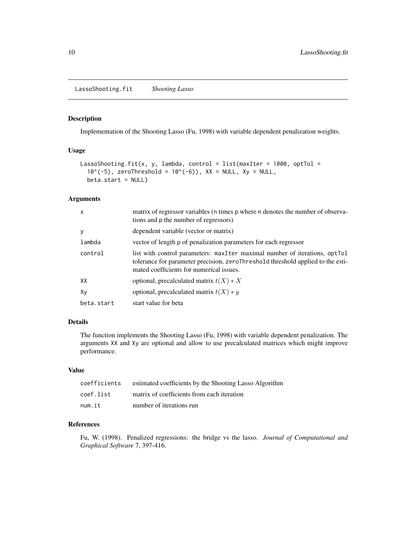<span id="page-9-0"></span>LassoShooting.fit *Shooting Lasso*

# Description

Implementation of the Shooting Lasso (Fu, 1998) with variable dependent penalization weights.

# Usage

```
LassoShooting.fit(x, y, lambda, control = list(maxIter = 1000, optTol =
  10^{\circ}(-5), zeroThreshold = 10^{\circ}(-6)), XX = NULL, Xy = NULL,
  beta.start = NULL)
```
# Arguments

| X          | matrix of regressor variables (n times p where n denotes the number of observa-<br>tions and p the number of regressors)                                                                                     |
|------------|--------------------------------------------------------------------------------------------------------------------------------------------------------------------------------------------------------------|
| y          | dependent variable (vector or matrix)                                                                                                                                                                        |
| lambda     | vector of length p of penalization parameters for each regressor                                                                                                                                             |
| control    | list with control parameters: maxilter maximal number of iterations, optional<br>tolerance for parameter precision, zeroThreshold threshold applied to the esti-<br>mated coefficients for numerical issues. |
| XX         | optional, precalculated matrix $t(X) * X$                                                                                                                                                                    |
| Xv         | optional, precalculated matrix $t(X) * y$                                                                                                                                                                    |
| beta.start | start value for beta                                                                                                                                                                                         |

# Details

The function implements the Shooting Lasso (Fu, 1998) with variable dependent penalization. The arguments XX and Xy are optional and allow to use precalculated matrices which might improve performance.

# Value

| coefficients | estimated coefficients by the Shooting Lasso Algorithm |
|--------------|--------------------------------------------------------|
| coef.list    | matrix of coefficients from each iteration             |
| num.it       | number of iterations run                               |

# References

Fu, W. (1998). Penalized regressions: the bridge vs the lasso. *Journal of Computational and Graphical Software* 7, 397-416.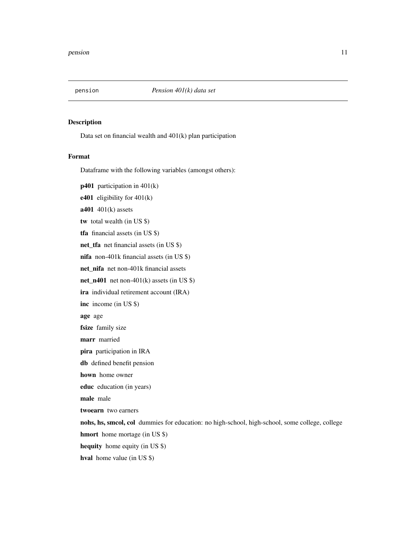<span id="page-10-0"></span>

# Description

Data set on financial wealth and 401(k) plan participation

# Format

Dataframe with the following variables (amongst others):

p401 participation in 401(k) e401 eligibility for 401(k)  $a401$  401(k) assets tw total wealth (in US \$) tfa financial assets (in US \$) net\_tfa net financial assets (in US \$) nifa non-401k financial assets (in US \$) net\_nifa net non-401k financial assets net\_n401 net non-401(k) assets (in US \$) ira individual retirement account (IRA) inc income (in US \$) age age fsize family size marr married pira participation in IRA db defined benefit pension hown home owner educ education (in years) male male twoearn two earners nohs, hs, smcol, col dummies for education: no high-school, high-school, some college, college hmort home mortage (in US \$) hequity home equity (in US \$) hval home value (in US \$)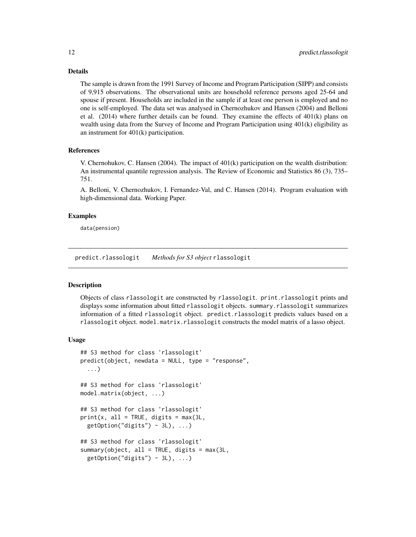# <span id="page-11-0"></span>Details

The sample is drawn from the 1991 Survey of Income and Program Participation (SIPP) and consists of 9,915 observations. The observational units are household reference persons aged 25-64 and spouse if present. Households are included in the sample if at least one person is employed and no one is self-employed. The data set was analysed in Chernozhukov and Hansen (2004) and Belloni et al.  $(2014)$  where further details can be found. They examine the effects of  $401(k)$  plans on wealth using data from the Survey of Income and Program Participation using 401(k) eligibility as an instrument for 401(k) participation.

# References

V. Chernohukov, C. Hansen (2004). The impact of 401(k) participation on the wealth distribution: An instrumental quantile regression analysis. The Review of Economic and Statistics 86 (3), 735– 751.

A. Belloni, V. Chernozhukov, I. Fernandez-Val, and C. Hansen (2014). Program evaluation with high-dimensional data. Working Paper.

### Examples

data(pension)

predict.rlassologit *Methods for S3 object* rlassologit

# Description

Objects of class rlassologit are constructed by rlassologit. print.rlassologit prints and displays some information about fitted rlassologit objects. summary.rlassologit summarizes information of a fitted rlassologit object. predict.rlassologit predicts values based on a rlassologit object. model.matrix.rlassologit constructs the model matrix of a lasso object.

#### Usage

```
## S3 method for class 'rlassologit'
predict(object, newdata = NULL, type = "response",
  ...)
## S3 method for class 'rlassologit'
model.matrix(object, ...)
## S3 method for class 'rlassologit'
print(x, all = TRUE, digits = max(3L,getOption("digits") - 3L), ...## S3 method for class 'rlassologit'
summary(object, all = TRUE, digits = max(3L,getOption("digits") - 3L), ...
```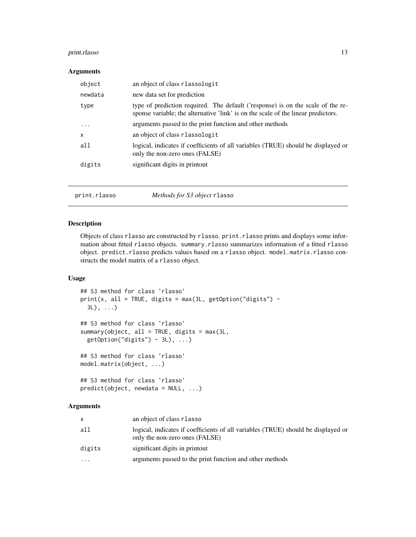# <span id="page-12-0"></span>print.rlasso 13

# Arguments

| object    | an object of class rlassologit                                                                                                                                       |
|-----------|----------------------------------------------------------------------------------------------------------------------------------------------------------------------|
| newdata   | new data set for prediction                                                                                                                                          |
| type      | type of prediction required. The default ('response) is on the scale of the re-<br>sponse variable; the alternative 'link' is on the scale of the linear predictors. |
| $\ddotsc$ | arguments passed to the print function and other methods                                                                                                             |
| X         | an object of class rlassologit                                                                                                                                       |
| a11       | logical, indicates if coefficients of all variables (TRUE) should be displayed or<br>only the non-zero ones (FALSE)                                                  |
| digits    | significant digits in printout                                                                                                                                       |
|           |                                                                                                                                                                      |

|--|

# Description

Objects of class rlasso are constructed by rlasso. print.rlasso prints and displays some information about fitted rlasso objects. summary.rlasso summarizes information of a fitted rlasso object. predict.rlasso predicts values based on a rlasso object. model.matrix.rlasso constructs the model matrix of a rlasso object.

# Usage

```
## S3 method for class 'rlasso'
print(x, all = TRUE, digits = max(3L, getOption("digits") -3L), \ldots## S3 method for class 'rlasso'
summary(object, all = TRUE, digits = max(3L,
 getOption("digits") - 3L), ...## S3 method for class 'rlasso'
model.matrix(object, ...)
## S3 method for class 'rlasso'
predict(object, newdata = NULL, ...)
```
# Arguments

| X      | an object of class rlasso                                                                                           |
|--------|---------------------------------------------------------------------------------------------------------------------|
| all    | logical, indicates if coefficients of all variables (TRUE) should be displayed or<br>only the non-zero ones (FALSE) |
| digits | significant digits in printout                                                                                      |
| .      | arguments passed to the print function and other methods                                                            |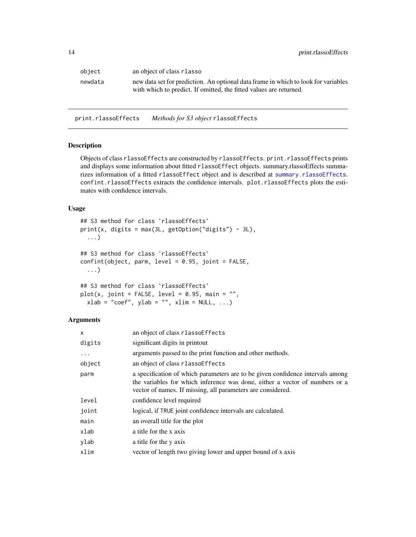<span id="page-13-0"></span>

| object  | an object of class r lasso                                                                                                                               |
|---------|----------------------------------------------------------------------------------------------------------------------------------------------------------|
| newdata | new data set for prediction. An optional data frame in which to look for variables<br>with which to predict. If omitted, the fitted values are returned. |

print.rlassoEffects *Methods for S3 object* rlassoEffects

# Description

Objects of class rlassoEffects are constructed by rlassoEffects. print.rlassoEffects prints and displays some information about fitted rlassoEffect objects. summary.rlassoEffects summarizes information of a fitted rlassoEffect object and is described at [summary.rlassoEffects](#page-36-1). confint.rlassoEffects extracts the confidence intervals. plot.rlassoEffects plots the estimates with confidence intervals.

# Usage

```
## S3 method for class 'rlassoEffects'
print(x, digits = max(3L, getOption("digits") - 3L),...)
## S3 method for class 'rlassoEffects'
confint(object, parm, level = 0.95, joint = FALSE,...)
## S3 method for class 'rlassoEffects'
plot(x, joint = FALSE, level = 0.95, main = "",xlab = "coef", ylab = "", xlim = NULL, ...)
```
#### **Arguments**

| $\mathsf{x}$ | an object of class rlassoEffects                                                                                                                                                                                             |
|--------------|------------------------------------------------------------------------------------------------------------------------------------------------------------------------------------------------------------------------------|
| digits       | significant digits in printout                                                                                                                                                                                               |
| $\ddots$ .   | arguments passed to the print function and other methods.                                                                                                                                                                    |
| object       | an object of class rlassoEffects                                                                                                                                                                                             |
| parm         | a specification of which parameters are to be given confidence intervals among<br>the variables for which inference was done, either a vector of numbers or a<br>vector of names. If missing, all parameters are considered. |
| level        | confidence level required                                                                                                                                                                                                    |
| joint        | logical, if TRUE joint confidence intervals are calculated.                                                                                                                                                                  |
| main         | an overall title for the plot                                                                                                                                                                                                |
| xlab         | a title for the x axis                                                                                                                                                                                                       |
| ylab         | a title for the y axis                                                                                                                                                                                                       |
| xlim         | vector of length two giving lower and upper bound of x axis                                                                                                                                                                  |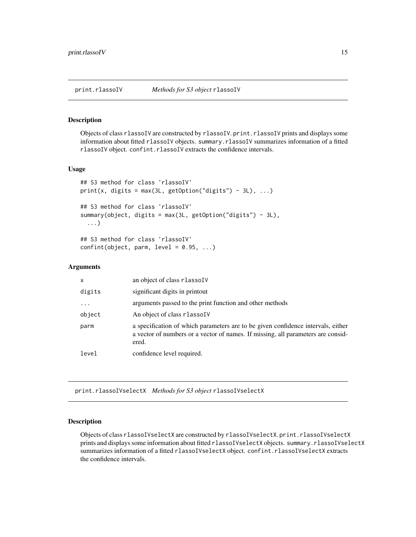<span id="page-14-0"></span>

#### Description

Objects of class rlassoIV are constructed by rlassoIV. print.rlassoIV prints and displays some information about fitted rlassoIV objects. summary.rlassoIV summarizes information of a fitted rlassoIV object. confint.rlassoIV extracts the confidence intervals.

#### Usage

```
## S3 method for class 'rlassoIV'
print(x, digits = max(3L, getOption("digits") - 3L), \dots)
## S3 method for class 'rlassoIV'
summary(object, digits = max(3L, getOption("digits") - 3L),
  ...)
## S3 method for class 'rlassoIV'
confint(object, parm, level = 0.95, ...)
```
#### Arguments

| x          | an object of class rlassolV                                                                                                                                                   |
|------------|-------------------------------------------------------------------------------------------------------------------------------------------------------------------------------|
| digits     | significant digits in printout                                                                                                                                                |
| $\ddots$ . | arguments passed to the print function and other methods                                                                                                                      |
| object     | An object of class rlassolV                                                                                                                                                   |
| parm       | a specification of which parameters are to be given confidence intervals, either<br>a vector of numbers or a vector of names. If missing, all parameters are consid-<br>ered. |
| level      | confidence level required.                                                                                                                                                    |

print.rlassoIVselectX *Methods for S3 object* rlassoIVselectX

# Description

Objects of class rlassoIVselectX are constructed by rlassoIVselectX. print.rlassoIVselectX prints and displays some information about fitted rlassoIVselectX objects. summary.rlassoIVselectX summarizes information of a fitted rlassoIVselectX object. confint.rlassoIVselectX extracts the confidence intervals.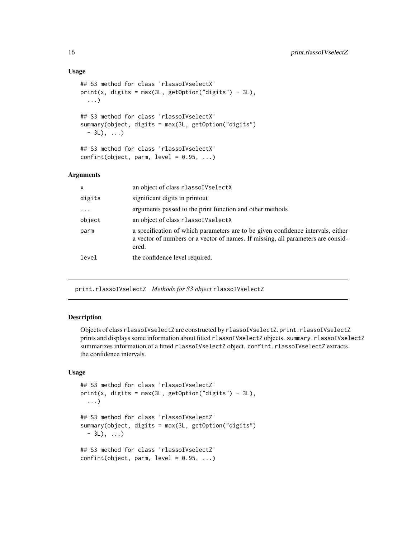# Usage

```
## S3 method for class 'rlassoIVselectX'
print(x, digits = max(3L, getOption("digits") - 3L),...)
## S3 method for class 'rlassoIVselectX'
summary(object, digits = max(3L, getOption("digits")
  - 3L), ...)
## S3 method for class 'rlassoIVselectX'
confint(object, parm, level = 0.95, ...)
```
# Arguments

| $\mathsf{x}$ | an object of class rlassoIVselectX                                                                                                                                            |
|--------------|-------------------------------------------------------------------------------------------------------------------------------------------------------------------------------|
| digits       | significant digits in printout                                                                                                                                                |
| $\cdots$     | arguments passed to the print function and other methods                                                                                                                      |
| object       | an object of class rlassol VselectX                                                                                                                                           |
| parm         | a specification of which parameters are to be given confidence intervals, either<br>a vector of numbers or a vector of names. If missing, all parameters are consid-<br>ered. |
| level        | the confidence level required.                                                                                                                                                |

print.rlassoIVselectZ *Methods for S3 object* rlassoIVselectZ

# Description

Objects of class rlassoIVselectZ are constructed by rlassoIVselectZ. print.rlassoIVselectZ prints and displays some information about fitted rlassoIVselectZ objects. summary.rlassoIVselectZ summarizes information of a fitted rlassoIVselectZ object. confint.rlassoIVselectZ extracts the confidence intervals.

# Usage

```
## S3 method for class 'rlassoIVselectZ'
print(x, digits = max(3L, getOption("digits") - 3L),...)
## S3 method for class 'rlassoIVselectZ'
summary(object, digits = max(3L, getOption("digits")
  -3L), \ldots## S3 method for class 'rlassoIVselectZ'
confint(object, parm, level = 0.95, ...)
```
<span id="page-15-0"></span>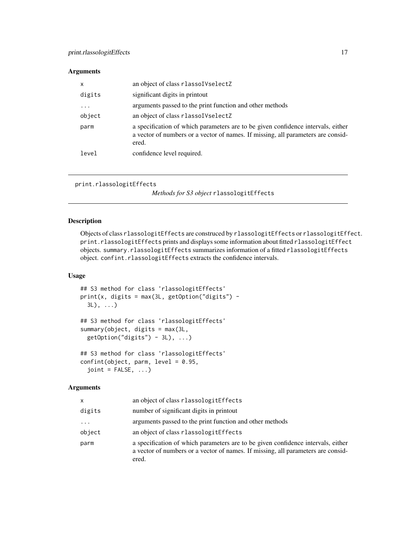# <span id="page-16-0"></span>Arguments

| X        | an object of class rlassoIVselectZ                                                                                                                                            |
|----------|-------------------------------------------------------------------------------------------------------------------------------------------------------------------------------|
| digits   | significant digits in printout                                                                                                                                                |
| $\cdots$ | arguments passed to the print function and other methods                                                                                                                      |
| object   | an object of class rlassol VselectZ                                                                                                                                           |
| parm     | a specification of which parameters are to be given confidence intervals, either<br>a vector of numbers or a vector of names. If missing, all parameters are consid-<br>ered. |
| level    | confidence level required.                                                                                                                                                    |

```
print.rlassologitEffects
```
*Methods for S3 object* rlassologitEffects

# Description

Objects of class rlassologitEffects are construced by rlassologitEffects or rlassologitEffect. print.rlassologitEffects prints and displays some information about fitted rlassologitEffect objects. summary.rlassologitEffects summarizes information of a fitted rlassologitEffects object. confint.rlassologitEffects extracts the confidence intervals.

# Usage

```
## S3 method for class 'rlassologitEffects'
print(x, \text{ digits} = max(3L, getOption("digits") -3L), ...)
## S3 method for class 'rlassologitEffects'
summary(object, digits = max(3L,
 getOption("digits") - 3L), ...## S3 method for class 'rlassologitEffects'
confint(object, parm, level = 0.95,
  joint = FALSE, ...)
```
# Arguments

| x        | an object of class rlassologitEffects                                                                                                                                         |
|----------|-------------------------------------------------------------------------------------------------------------------------------------------------------------------------------|
| digits   | number of significant digits in printout                                                                                                                                      |
| $\cdots$ | arguments passed to the print function and other methods                                                                                                                      |
| object   | an object of class rlassologit Effects                                                                                                                                        |
| parm     | a specification of which parameters are to be given confidence intervals, either<br>a vector of numbers or a vector of names. If missing, all parameters are consid-<br>ered. |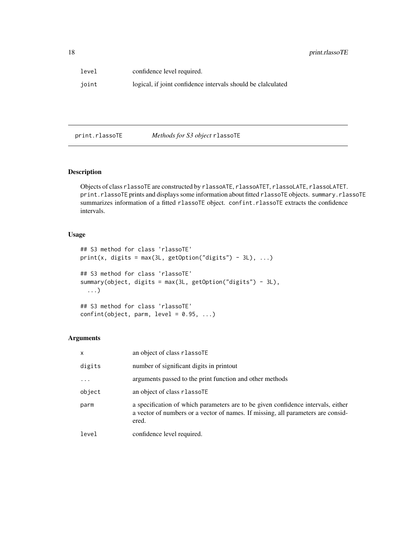<span id="page-17-0"></span>

| level | confidence level required.                                   |
|-------|--------------------------------------------------------------|
| joint | logical, if joint confidence intervals should be clalculated |

print.rlassoTE *Methods for S3 object* rlassoTE

# Description

Objects of class rlassoTE are constructed by rlassoATE, rlassoATET, rlassoLATE, rlassoLATET. print.rlassoTE prints and displays some information about fitted rlassoTE objects. summary.rlassoTE summarizes information of a fitted rlassoTE object. confint.rlassoTE extracts the confidence intervals.

# Usage

```
## S3 method for class 'rlassoTE'
print(x, digits = max(3L, getOption("digits") - 3L), ...)## S3 method for class 'rlassoTE'
summary(object, digits = max(3L, getOption("digits") - 3L),
  ...)
## S3 method for class 'rlassoTE'
```
 $confint(object, parm, level = 0.95, ...)$ 

# Arguments

| $\mathsf{x}$ | an object of class rlassoTE                                                                                                                                                   |
|--------------|-------------------------------------------------------------------------------------------------------------------------------------------------------------------------------|
| digits       | number of significant digits in printout                                                                                                                                      |
| $\cdots$     | arguments passed to the print function and other methods                                                                                                                      |
| object       | an object of class rlassoTE                                                                                                                                                   |
| parm         | a specification of which parameters are to be given confidence intervals, either<br>a vector of numbers or a vector of names. If missing, all parameters are consid-<br>ered. |
| level        | confidence level required.                                                                                                                                                    |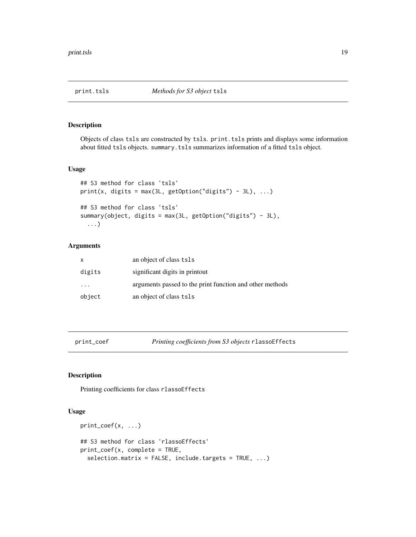<span id="page-18-0"></span>

# Description

Objects of class tsls are constructed by tsls. print.tsls prints and displays some information about fitted tsls objects. summary.tsls summarizes information of a fitted tsls object.

# Usage

```
## S3 method for class 'tsls'
print(x, digits = max(3L, getOption("digits") - 3L), ...)## S3 method for class 'tsls'
summary(object, digits = max(3L, getOption("digits") - 3L),
  ...)
```
# Arguments

| $\times$ | an object of class tsls                                  |
|----------|----------------------------------------------------------|
| digits   | significant digits in printout                           |
|          | arguments passed to the print function and other methods |
| object   | an object of class tsls                                  |

print\_coef *Printing coefficients from S3 objects* rlassoEffects

# Description

Printing coefficients for class rlassoEffects

#### Usage

```
print\_coeff(x, \ldots)## S3 method for class 'rlassoEffects'
print_coef(x, complete = TRUE,
  selection.matrix = FALSE, include.targets = TRUE, ...)
```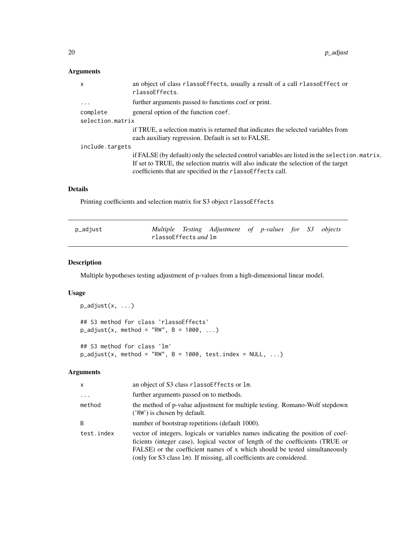# <span id="page-19-0"></span>Arguments

| $\mathsf{x}$     | an object of class rlassoeffects, usually a result of a call rlassoeffect or<br>rlassoEffects.                                                                                                                                                      |
|------------------|-----------------------------------------------------------------------------------------------------------------------------------------------------------------------------------------------------------------------------------------------------|
| $\ddots$         | further arguments passed to functions coef or print.                                                                                                                                                                                                |
| complete         | general option of the function coef.                                                                                                                                                                                                                |
| selection.matrix |                                                                                                                                                                                                                                                     |
|                  | if TRUE, a selection matrix is returned that indicates the selected variables from<br>each auxiliary regression. Default is set to FALSE.                                                                                                           |
| include.targets  |                                                                                                                                                                                                                                                     |
|                  | if FALSE (by default) only the selected control variables are listed in the selection. matrix.<br>If set to TRUE, the selection matrix will also indicate the selection of the target<br>coefficients that are specified in the rlassoEffects call. |
|                  |                                                                                                                                                                                                                                                     |

# Details

Printing coefficients and selection matrix for S3 object rlassoEffects

| p_adjust |                                          | Multiple Testing Adjustment of p-values for S3 objects |  |  |  |
|----------|------------------------------------------|--------------------------------------------------------|--|--|--|
|          | rlassoEffects <i>and</i> <code>lm</code> |                                                        |  |  |  |

# Description

Multiple hypotheses testing adjustment of p-values from a high-dimensional linear model.

# Usage

```
p_adjust(x, ...)
## S3 method for class 'rlassoEffects'
p\_adjust(x, method = "RW", B = 1000, ...)
```
## S3 method for class 'lm'  $p\_adjust(x, method = "RW", B = 1000, test.index = NULL, ...)$ 

# Arguments

| x          | an object of S3 class rlassoEffects or lm.                                                                                                                                                                                                                                                                               |
|------------|--------------------------------------------------------------------------------------------------------------------------------------------------------------------------------------------------------------------------------------------------------------------------------------------------------------------------|
| $\ddots$ . | further arguments passed on to methods.                                                                                                                                                                                                                                                                                  |
| method     | the method of p-value adjustment for multiple testing. Romano-Wolf stepdown<br>('RW') is chosen by default.                                                                                                                                                                                                              |
| B          | number of bootstrap repetitions (default 1000).                                                                                                                                                                                                                                                                          |
| test.index | vector of integers, logicals or variables names indicating the position of coef-<br>ficients (integer case), logical vector of length of the coefficients (TRUE or<br>FALSE) or the coefficient names of x which should be tested simultaneously<br>(only for S3 class 1m). If missing, all coefficients are considered. |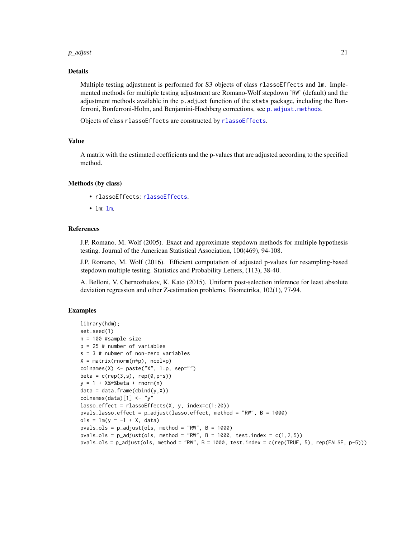#### <span id="page-20-0"></span> $p\_adjust$  21

### Details

Multiple testing adjustment is performed for S3 objects of class rlassoEffects and lm. Implemented methods for multiple testing adjustment are Romano-Wolf stepdown 'RW' (default) and the adjustment methods available in the p.adjust function of the stats package, including the Bonferroni, Bonferroni-Holm, and Benjamini-Hochberg corrections, see [p.adjust.methods](#page-0-0).

Objects of class rlassoEffects are constructed by [rlassoEffects](#page-25-1).

#### Value

A matrix with the estimated coefficients and the p-values that are adjusted according to the specified method.

# Methods (by class)

- rlassoEffects: [rlassoEffects](#page-25-1).
- lm: [lm](#page-0-0).

## References

J.P. Romano, M. Wolf (2005). Exact and approximate stepdown methods for multiple hypothesis testing. Journal of the American Statistical Association, 100(469), 94-108.

J.P. Romano, M. Wolf (2016). Efficient computation of adjusted p-values for resampling-based stepdown multiple testing. Statistics and Probability Letters, (113), 38-40.

A. Belloni, V. Chernozhukov, K. Kato (2015). Uniform post-selection inference for least absolute deviation regression and other Z-estimation problems. Biometrika, 102(1), 77-94.

# Examples

```
library(hdm);
set.seed(1)
n = 100 #sample size
p = 25 # number of variables
s = 3 # nubmer of non-zero variables
X = matrix(rnorm(n*p), ncol=p)colnames(X) <- paste("X", 1:p, sep="")
beta = c(rep(3,s), rep(0,p-s))y = 1 + X% * %beta + rnorm(n)data = data-frame(cbind(y, X))colnames(data)[1] <- "y"
lasso.effect = rlassoEffects(X, y, index=c(1:20))
pvals.lasso.effect = p_adjust(lasso.effect, method = "RW", B = 1000)
ols = lm(y \sim -1 + X, data)pvals.ols = p\_adjust(ols, method = "RW", B = 1000)pvals.ols = p\_adjust(ols, method = "RW", B = 1000, test.index = c(1, 2, 5))pvals.ols = p_adjust(ols, method = "RW", B = 1000, test.index = c(rep(TRUE, 5), rep(FALSE, p-5)))
```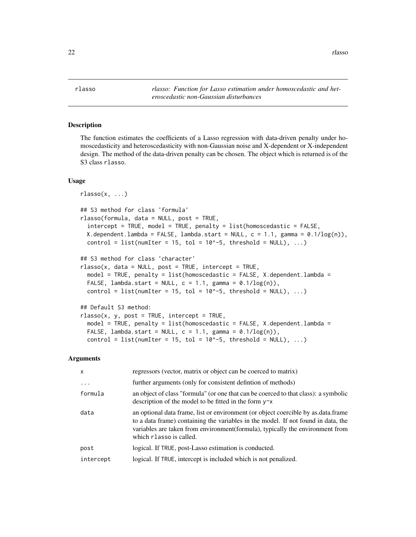<span id="page-21-1"></span><span id="page-21-0"></span>rlasso *rlasso: Function for Lasso estimation under homoscedastic and heteroscedastic non-Gaussian disturbances*

# Description

The function estimates the coefficients of a Lasso regression with data-driven penalty under homoscedasticity and heteroscedasticity with non-Gaussian noise and X-dependent or X-independent design. The method of the data-driven penalty can be chosen. The object which is returned is of the S3 class rlasso.

#### Usage

```
rlasso(x, ...)
## S3 method for class 'formula'
rlasso(formula, data = NULL, post = TRUE,
  intercept = TRUE, model = TRUE, penalty = list(homoscedastic = FALSE,
 X.dependent.lambda = FALSE, lambda.start = NULL, c = 1.1, gamma = 0.1/log(n)),
  control = list(numIter = 15, tol = 10^{\circ}-5, threshold = NULL), ...## S3 method for class 'character'
rlasso(x, data = NULL, post = TRUE, intercept = TRUE,model = TRUE, penalty = list(homoscedastic = FALSE, X.dependent.lambda =
  FALSE, lambda.start = NULL, c = 1.1, gamma = 0.1/log(n)),
  control = list(numIter = 15, tol = 10^{\circ}-5, threshold = NULL), ...)
## Default S3 method:
rlasso(x, y, post = TRUE, intercept = TRUE,
```

```
model = TRUE, penalty = list(homoscedastic = FALSE, X.dependent.lambda =
FALSE, lambda.start = NULL, c = 1.1, gamma = 0.1/log(n)),
control = list(numIter = 15, tol = 10^{\circ}-5, threshold = NULL), ...
```
# Arguments

| $\mathsf{x}$            | regressors (vector, matrix or object can be coerced to matrix)                                                                                                                                                                                                                     |
|-------------------------|------------------------------------------------------------------------------------------------------------------------------------------------------------------------------------------------------------------------------------------------------------------------------------|
| $\cdot$ $\cdot$ $\cdot$ | further arguments (only for consistent defintion of methods)                                                                                                                                                                                                                       |
| formula                 | an object of class "formula" (or one that can be coerced to that class): a symbolic<br>description of the model to be fitted in the form $y \sim x$                                                                                                                                |
| data                    | an optional data frame, list or environment (or object coercible by as data frame<br>to a data frame) containing the variables in the model. If not found in data, the<br>variables are taken from environment(formula), typically the environment from<br>which rlasso is called. |
| post                    | logical. If TRUE, post-Lasso estimation is conducted.                                                                                                                                                                                                                              |
| intercept               | logical. If TRUE, intercept is included which is not penalized.                                                                                                                                                                                                                    |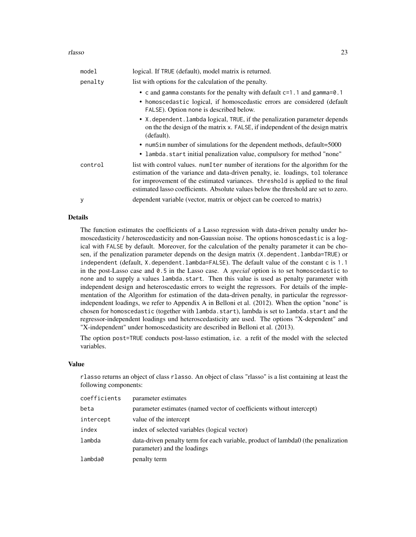#### rlasso 23

| model   | logical. If TRUE (default), model matrix is returned.                                                                                                                                                                                                                                                                                         |
|---------|-----------------------------------------------------------------------------------------------------------------------------------------------------------------------------------------------------------------------------------------------------------------------------------------------------------------------------------------------|
| penalty | list with options for the calculation of the penalty.                                                                                                                                                                                                                                                                                         |
|         | • c and gamma constants for the penalty with default $c=1$ . 1 and gamma=0.1<br>• homoscedastic logical, if homoscedastic errors are considered (default<br>FALSE). Option none is described below.                                                                                                                                           |
|         | • X. dependent. lambda logical, TRUE, if the penalization parameter depends<br>on the the design of the matrix x. FALSE, if independent of the design matrix<br>(default).                                                                                                                                                                    |
|         | • num Sim number of simulations for the dependent methods, default=5000                                                                                                                                                                                                                                                                       |
|         | • lambda.start initial penalization value, compulsory for method "none"                                                                                                                                                                                                                                                                       |
| control | list with control values. num I term number of iterations for the algorithm for the<br>estimation of the variance and data-driven penalty, ie. loadings, tol tolerance<br>for improvement of the estimated variances. threshold is applied to the final<br>estimated lasso coefficients. Absolute values below the threshold are set to zero. |
| у       | dependent variable (vector, matrix or object can be coerced to matrix)                                                                                                                                                                                                                                                                        |

# Details

The function estimates the coefficients of a Lasso regression with data-driven penalty under homoscedasticity / heteroscedasticity and non-Gaussian noise. The options homoscedastic is a logical with FALSE by default. Moreover, for the calculation of the penalty parameter it can be chosen, if the penalization parameter depends on the design matrix (X.dependent.lambda=TRUE) or independent (default, X.dependent.lambda=FALSE). The default value of the constant c is 1.1 in the post-Lasso case and 0.5 in the Lasso case. A *special* option is to set homoscedastic to none and to supply a values lambda.start. Then this value is used as penalty parameter with independent design and heteroscedastic errors to weight the regressors. For details of the implementation of the Algorithm for estimation of the data-driven penalty, in particular the regressorindependent loadings, we refer to Appendix A in Belloni et al. (2012). When the option "none" is chosen for homoscedastic (together with lambda.start), lambda is set to lambda.start and the regressor-independent loadings und heteroscedasticity are used. The options "X-dependent" and "X-independent" under homoscedasticity are described in Belloni et al. (2013).

The option post=TRUE conducts post-lasso estimation, i.e. a refit of the model with the selected variables.

# Value

rlasso returns an object of class rlasso. An object of class "rlasso" is a list containing at least the following components:

| coefficients | parameter estimates                                                                                             |
|--------------|-----------------------------------------------------------------------------------------------------------------|
| beta         | parameter estimates (named vector of coefficients without intercept)                                            |
| intercept    | value of the intercept                                                                                          |
| index        | index of selected variables (logical vector)                                                                    |
| lambda       | data-driven penalty term for each variable, product of lambda0 (the penalization<br>parameter) and the loadings |
| lambda0      | penalty term                                                                                                    |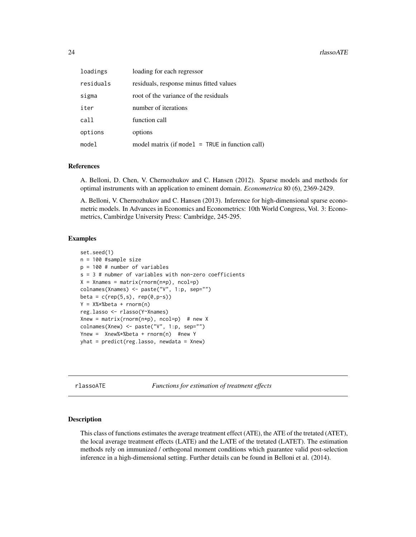<span id="page-23-0"></span>

| loadings  | loading for each regressor                        |  |  |
|-----------|---------------------------------------------------|--|--|
| residuals | residuals, response minus fitted values           |  |  |
| sigma     | root of the variance of the residuals             |  |  |
| iter      | number of iterations                              |  |  |
| call      | function call                                     |  |  |
| options   | options                                           |  |  |
| model     | model matrix (if model $=$ TRUE in function call) |  |  |

#### References

A. Belloni, D. Chen, V. Chernozhukov and C. Hansen (2012). Sparse models and methods for optimal instruments with an application to eminent domain. *Econometrica* 80 (6), 2369-2429.

A. Belloni, V. Chernozhukov and C. Hansen (2013). Inference for high-dimensional sparse econometric models. In Advances in Economics and Econometrics: 10th World Congress, Vol. 3: Econometrics, Cambirdge University Press: Cambridge, 245-295.

# Examples

```
set.seed(1)
n = 100 #sample size
p = 100 # number of variables
s = 3 # nubmer of variables with non-zero coefficients
X = Xnames = matrix(rnorm(n*p), ncol=p)
colnames(Xnames) <- paste("V", 1:p, sep="")
beta = c(rep(5,s), rep(0,p-s))Y = X%*%beta + rnorm(n)
reg.lasso <- rlasso(Y~Xnames)
Xnew = matrix(rnorm(n*p), ncol=p) # new X
colnames(Xnew) <- paste("V", 1:p, sep="")
Ynew = Xnew%*%beta + rnorm(n) #new Y
yhat = predict(reg.lasso, newdata = Xnew)
```
rlassoATE *Functions for estimation of treatment effects*

# Description

This class of functions estimates the average treatment effect (ATE), the ATE of the tretated (ATET), the local average treatment effects (LATE) and the LATE of the tretated (LATET). The estimation methods rely on immunized / orthogonal moment conditions which guarantee valid post-selection inference in a high-dimensional setting. Further details can be found in Belloni et al. (2014).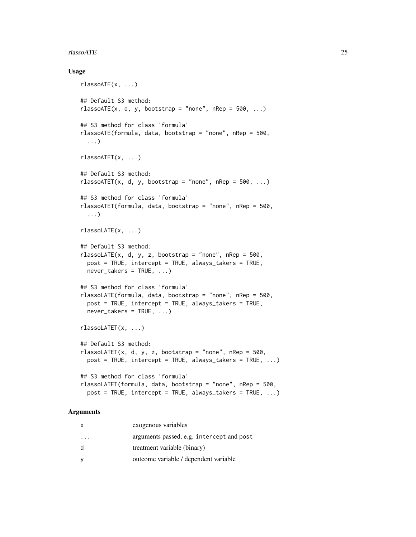#### rlassoATE 25

### Usage

```
rlassoATE(x, ...)
## Default S3 method:
rlassoATE(x, d, y, bootstrap = "none", nRep = 500, ...)
## S3 method for class 'formula'
rlassoATE(formula, data, bootstrap = "none", nRep = 500,
  ...)
rlassoATET(x, ...)
## Default S3 method:
rlassoATET(x, d, y, bootstrap = "none", nRep = 500, ...)
## S3 method for class 'formula'
rlassoATET(formula, data, bootstrap = "none", nRep = 500,
  ...)
rlassoLATE(x, ...)
## Default S3 method:
rlassoLATE(x, d, y, z, bootstrap = "none", nRep = 500,
 post = TRUE, intercept = TRUE, always_takers = TRUE,
 never_takers = TRUE, ...)
## S3 method for class 'formula'
rlassoLATE(formula, data, bootstrap = "none", nRep = 500,
 post = TRUE, intercept = TRUE, always_takers = TRUE,
 never_takers = TRUE, ...)
rlassoLATET(x, ...)
## Default S3 method:
rlassoLATET(x, d, y, z, bootstrap = "none", nRep = 500,
 post = TRUE, intercept = TRUE, always\_takes = TRUE, ...)
## S3 method for class 'formula'
rlassoLATET(formula, data, bootstrap = "none", nRep = 500,
 post = TRUE, intercept = TRUE, always_takers = TRUE, ...)
```
#### Arguments

| x  | exogenous variables                       |
|----|-------------------------------------------|
|    | arguments passed, e.g. intercept and post |
| d. | treatment variable (binary)               |
| v  | outcome variable / dependent variable     |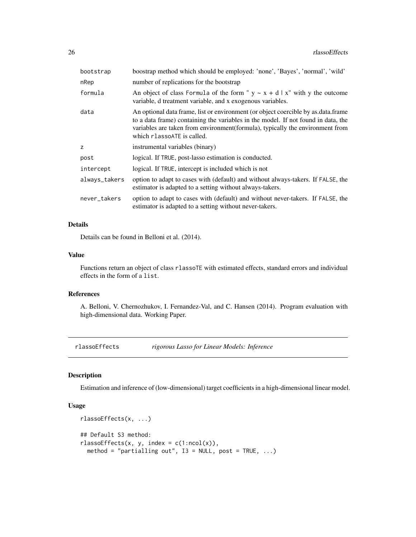<span id="page-25-0"></span>

| bootstrap     | boostrap method which should be employed: 'none', 'Bayes', 'normal', 'wild'                                                                                                                                                                                                           |  |
|---------------|---------------------------------------------------------------------------------------------------------------------------------------------------------------------------------------------------------------------------------------------------------------------------------------|--|
| nRep          | number of replications for the bootstrap                                                                                                                                                                                                                                              |  |
| formula       | An object of class Formula of the form " $y \sim x + d \mid x$ " with y the outcome<br>variable, d treatment variable, and x exogenous variables.                                                                                                                                     |  |
| data          | An optional data frame, list or environment (or object coercible by as data frame<br>to a data frame) containing the variables in the model. If not found in data, the<br>variables are taken from environment(formula), typically the environment from<br>which rlassoaTE is called. |  |
| z             | instrumental variables (binary)                                                                                                                                                                                                                                                       |  |
| post          | logical. If TRUE, post-lasso estimation is conducted.                                                                                                                                                                                                                                 |  |
| intercept     | logical. If TRUE, intercept is included which is not                                                                                                                                                                                                                                  |  |
| always_takers | option to adapt to cases with (default) and without always-takers. If FALSE, the<br>estimator is adapted to a setting without always-takers.                                                                                                                                          |  |
| never_takers  | option to adapt to cases with (default) and without never-takers. If FALSE, the<br>estimator is adapted to a setting without never-takers.                                                                                                                                            |  |

# Details

Details can be found in Belloni et al. (2014).

#### Value

Functions return an object of class rlassoTE with estimated effects, standard errors and individual effects in the form of a list.

#### References

A. Belloni, V. Chernozhukov, I. Fernandez-Val, and C. Hansen (2014). Program evaluation with high-dimensional data. Working Paper.

<span id="page-25-1"></span>rlassoEffects *rigorous Lasso for Linear Models: Inference*

# Description

Estimation and inference of (low-dimensional) target coefficients in a high-dimensional linear model.

# Usage

```
rlassoEffects(x, ...)
## Default S3 method:
rlassoEffects(x, y, index = c(1:ncol(x)),method = "partialling out", I3 = NULL, post = TRUE, ...)
```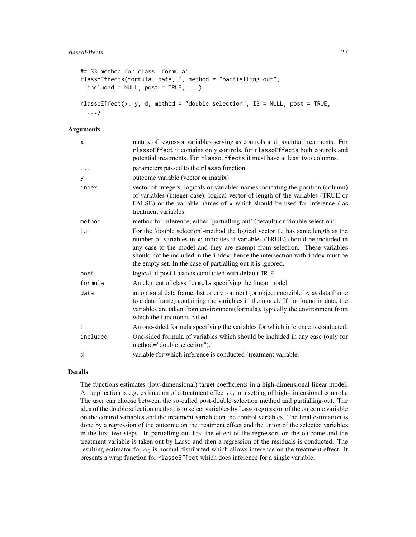```
## S3 method for class 'formula'
rlassoEffects(formula, data, I, method = "partialling out",
  include = NULL, post = TRUE, ...rlassoEffect(x, y, d, method = "double selection", I3 = NULL, post = TRUE,
  ...)
```
# Arguments

| $\mathsf{x}$ | matrix of regressor variables serving as controls and potential treatments. For<br>rlassoEffect it contains only controls, for rlassoEffects both controls and<br>potential treatments. For rlassoEffects it must have at least two columns.                                                                                                                                                   |
|--------------|------------------------------------------------------------------------------------------------------------------------------------------------------------------------------------------------------------------------------------------------------------------------------------------------------------------------------------------------------------------------------------------------|
|              | parameters passed to the rlasso function.                                                                                                                                                                                                                                                                                                                                                      |
| y            | outcome variable (vector or matrix)                                                                                                                                                                                                                                                                                                                                                            |
| index        | vector of integers, logicals or variables names indicating the position (column)<br>of variables (integer case), logical vector of length of the variables (TRUE or<br>FALSE) or the variable names of x which should be used for inference / as<br>treatment variables.                                                                                                                       |
| method       | method for inference, either 'partialling out' (default) or 'double selection'.                                                                                                                                                                                                                                                                                                                |
| I3           | For the 'double selection'-method the logical vector I3 has same length as the<br>number of variables in x; indicates if variables (TRUE) should be included in<br>any case to the model and they are exempt from selection. These variables<br>should not be included in the index; hence the intersection with index must be<br>the empty set. In the case of partialling out it is ignored. |
| post         | logical, if post Lasso is conducted with default TRUE.                                                                                                                                                                                                                                                                                                                                         |
| formula      | An element of class formula specifying the linear model.                                                                                                                                                                                                                                                                                                                                       |
| data         | an optional data frame, list or environment (or object coercible by as data frame<br>to a data frame) containing the variables in the model. If not found in data, the<br>variables are taken from environment(formula), typically the environment from<br>which the function is called.                                                                                                       |
| I            | An one-sided formula specifying the variables for which inference is conducted.                                                                                                                                                                                                                                                                                                                |
| included     | One-sided formula of variables which should be included in any case (only for<br>method="double selection").                                                                                                                                                                                                                                                                                   |
| d            | variable for which inference is conducted (treatment variable)                                                                                                                                                                                                                                                                                                                                 |

#### Details

The functions estimates (low-dimensional) target coefficients in a high-dimensional linear model. An application is e.g. estimation of a treatment effect  $\alpha_0$  in a setting of high-dimensional controls. The user can choose between the so-called post-double-selection method and partialling-out. The idea of the double selection method is to select variables by Lasso regression of the outcome variable on the control variables and the treatment variable on the control variables. The final estimation is done by a regression of the outcome on the treatment effect and the union of the selected variables in the first two steps. In partialling-out first the effect of the regressors on the outcome and the treatment variable is taken out by Lasso and then a regression of the residuals is conducted. The resulting estimator for  $\alpha_0$  is normal distributed which allows inference on the treatment effect. It presents a wrap function for rlassoEffect which does inference for a single variable.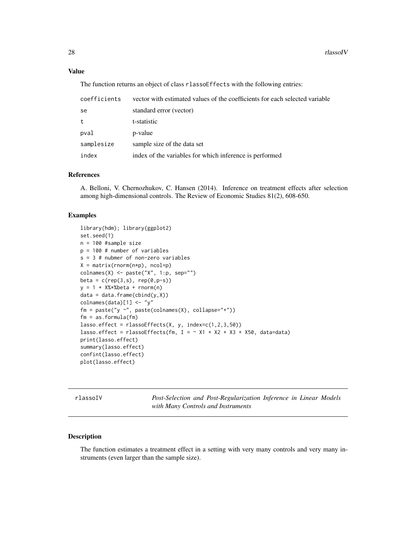# <span id="page-27-0"></span>Value

The function returns an object of class rlassoEffects with the following entries:

| coefficients | vector with estimated values of the coefficients for each selected variable |
|--------------|-----------------------------------------------------------------------------|
| se           | standard error (vector)                                                     |
| t            | t-statistic                                                                 |
| pval         | p-value                                                                     |
| samplesize   | sample size of the data set                                                 |
| index        | index of the variables for which inference is performed                     |

# References

A. Belloni, V. Chernozhukov, C. Hansen (2014). Inference on treatment effects after selection among high-dimensional controls. The Review of Economic Studies 81(2), 608-650.

#### Examples

```
library(hdm); library(ggplot2)
set.seed(1)
n = 100 #sample size
p = 100 # number of variables
s = 3 # nubmer of non-zero variables
X = matrix(rnorm(n*p), ncol=p)colnames(X) <- paste("X", 1:p, sep="")
beta = c(rep(3,s), rep(0,p-s))y = 1 + X% * %beta + rnorm(n)data = data-frame<mark>rame(cbind(y,X))</mark>colnames(data)[1] <- "y"
fm = paste("y ~", paste(colnames(X), collapse="+"))
fm = as.format(a(fm))lasso.effect = classoEffects(X, y, index=c(1, 2, 3, 50))lasso.effect = rlassoEffects(fm, I = -X1 + X2 + X3 + X50, data=data)
print(lasso.effect)
summary(lasso.effect)
confint(lasso.effect)
plot(lasso.effect)
```
rlassoIV *Post-Selection and Post-Regularization Inference in Linear Models with Many Controls and Instruments*

#### Description

The function estimates a treatment effect in a setting with very many controls and very many instruments (even larger than the sample size).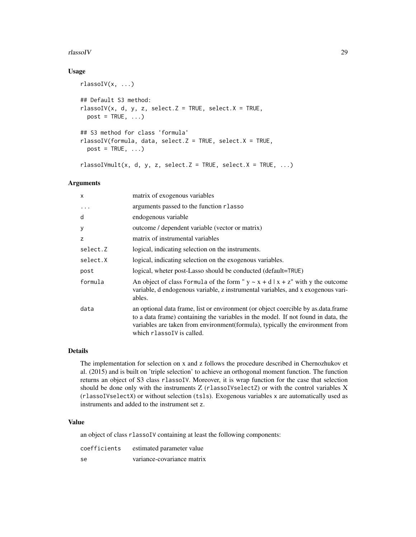# rlassoIV 29

# Usage

```
rlassoIV(x, ...)
## Default S3 method:
rlassoIV(x, d, y, z, select.Z = TRUE, select.X = TRUE,post = TRUE, ...## S3 method for class 'formula'
rlassoIV(formula, data, select.Z = TRUE, select.X = TRUE,
 post = TRUE, ...rlassoIVmult(x, d, y, z, select.Z = TRUE, select.X = TRUE, ...)
```
# Arguments

| $\mathsf{x}$ | matrix of exogenous variables                                                                                                                                                                                                                                                          |
|--------------|----------------------------------------------------------------------------------------------------------------------------------------------------------------------------------------------------------------------------------------------------------------------------------------|
|              | arguments passed to the function rlasso                                                                                                                                                                                                                                                |
| d            | endogenous variable                                                                                                                                                                                                                                                                    |
| y            | outcome / dependent variable (vector or matrix)                                                                                                                                                                                                                                        |
| z            | matrix of instrumental variables                                                                                                                                                                                                                                                       |
| select.Z     | logical, indicating selection on the instruments.                                                                                                                                                                                                                                      |
| select.X     | logical, indicating selection on the exogenous variables.                                                                                                                                                                                                                              |
| post         | logical, wheter post-Lasso should be conducted (default=TRUE)                                                                                                                                                                                                                          |
| formula      | An object of class Formula of the form " $y \sim x + d   x + z$ " with y the outcome<br>variable, d endogenous variable, z instrumental variables, and x exogenous vari-<br>ables.                                                                                                     |
| data         | an optional data frame, list or environment (or object coercible by as data frame<br>to a data frame) containing the variables in the model. If not found in data, the<br>variables are taken from environment (formula), typically the environment from<br>which rlassol V is called. |

# Details

The implementation for selection on x and z follows the procedure described in Chernozhukov et al. (2015) and is built on 'triple selection' to achieve an orthogonal moment function. The function returns an object of S3 class rlassoIV. Moreover, it is wrap function for the case that selection should be done only with the instruments Z (rlassoIVselectZ) or with the control variables X (rlassoIVselectX) or without selection (tsls). Exogenous variables x are automatically used as instruments and added to the instrument set z.

# Value

an object of class rlassoIV containing at least the following components:

| coefficients | estimated parameter value  |
|--------------|----------------------------|
| se.          | variance-covariance matrix |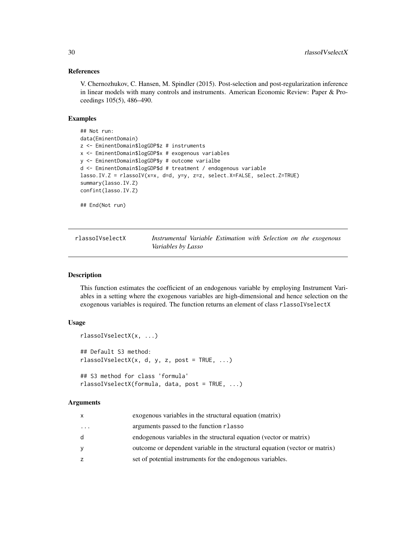### References

V. Chernozhukov, C. Hansen, M. Spindler (2015). Post-selection and post-regularization inference in linear models with many controls and instruments. American Economic Review: Paper & Proceedings 105(5), 486–490.

# Examples

```
## Not run:
data(EminentDomain)
z <- EminentDomain$logGDP$z # instruments
x <- EminentDomain$logGDP$x # exogenous variables
y <- EminentDomain$logGDP$y # outcome varialbe
d <- EminentDomain$logGDP$d # treatment / endogenous variable
lasso.IV.Z = rlassoIV(x=x, d=d, y=y, z=z, select.X=FALSE, select.Z=TRUE)
summary(lasso.IV.Z)
confint(lasso.IV.Z)
## End(Not run)
```

| rlassoIVselectX | Instrumental Variable Estimation with Selection on the exogenous |  |  |  |  |
|-----------------|------------------------------------------------------------------|--|--|--|--|
|                 | Variables by Lasso                                               |  |  |  |  |

# Description

This function estimates the coefficient of an endogenous variable by employing Instrument Variables in a setting where the exogenous variables are high-dimensional and hence selection on the exogenous variables is required. The function returns an element of class rlassoIVselectX

# Usage

```
rlassoIVselectX(x, ...)
## Default S3 method:
rlassoIVselectX(x, d, y, z, post = TRUE, ...)## S3 method for class 'formula'
rlassoIVselectX(formula, data, post = TRUE, ...)
```
#### Arguments

| x        | exogenous variables in the structural equation (matrix)                     |
|----------|-----------------------------------------------------------------------------|
| $\cdots$ | arguments passed to the function r lasso                                    |
| d.       | endogenous variables in the structural equation (vector or matrix)          |
| ٧        | outcome or dependent variable in the structural equation (vector or matrix) |
| z        | set of potential instruments for the endogenous variables.                  |
|          |                                                                             |

<span id="page-29-0"></span>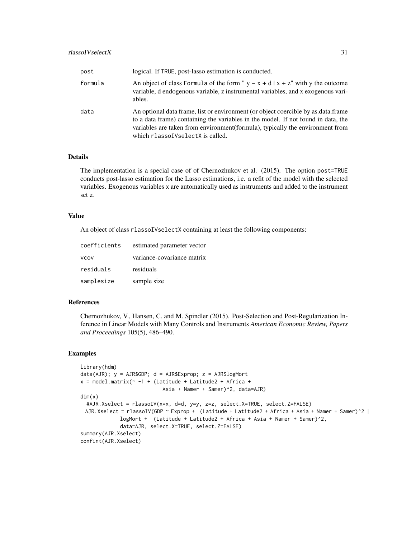| post    | logical. If TRUE, post-lasso estimation is conducted.                                                                                                                                                                                                                                        |
|---------|----------------------------------------------------------------------------------------------------------------------------------------------------------------------------------------------------------------------------------------------------------------------------------------------|
| formula | An object of class Formula of the form " $y \sim x + d   x + z$ " with y the outcome<br>variable, d endogenous variable, z instrumental variables, and x exogenous vari-<br>ables.                                                                                                           |
| data    | An optional data frame, list or environment (or object coercible by as data frame<br>to a data frame) containing the variables in the model. If not found in data, the<br>variables are taken from environment (formula), typically the environment from<br>which rlassoIVselectX is called. |

# Details

The implementation is a special case of of Chernozhukov et al. (2015). The option post=TRUE conducts post-lasso estimation for the Lasso estimations, i.e. a refit of the model with the selected variables. Exogenous variables x are automatically used as instruments and added to the instrument set z.

# Value

An object of class rlassoIVselectX containing at least the following components:

| coefficients | estimated parameter vector |
|--------------|----------------------------|
| <b>VCOV</b>  | variance-covariance matrix |
| residuals    | residuals                  |
| samplesize   | sample size                |

#### References

Chernozhukov, V., Hansen, C. and M. Spindler (2015). Post-Selection and Post-Regularization Inference in Linear Models with Many Controls and Instruments *American Economic Review, Papers and Proceedings* 105(5), 486–490.

#### Examples

```
library(hdm)
data(AJR); y = AJK$GDP; d = AJR$Exprop; z = AJR$logMortx = model_matrix \sim -1 + (Latitude + Latitude2 + Africa +
                           Asia + Namer + Samer)^2, data=AJR)
dim(x)
 #AJR.Xselect = rlassoIV(x=x, d=d, y=y, z=z, select.X=TRUE, select.Z=FALSE)
 AJR.Xselect = rlassoIV(GDP ~ Exprop + (Latitude + Latitude2 + Africa + Asia + Namer + Samer)^2 |
             logMort + (Latitude + Latitude2 + Africa + Asia + Namer + Samer)^2,
             data=AJR, select.X=TRUE, select.Z=FALSE)
summary(AJR.Xselect)
confint(AJR.Xselect)
```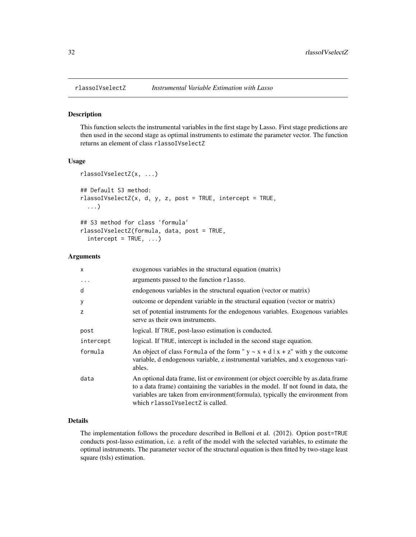#### Description

This function selects the instrumental variables in the first stage by Lasso. First stage predictions are then used in the second stage as optimal instruments to estimate the parameter vector. The function returns an element of class rlassoIVselectZ

#### Usage

```
rlassoIVselectZ(x, ...)
## Default S3 method:
rlassoIVselectZ(x, d, y, z, post = TRUE, intercept = TRUE,
  ...)
## S3 method for class 'formula'
rlassoIVselectZ(formula, data, post = TRUE,
  intercept = TRUE, ...
```
# Arguments

| $\boldsymbol{\mathsf{x}}$ | exogenous variables in the structural equation (matrix)                                                                                                                                                                                                                                        |
|---------------------------|------------------------------------------------------------------------------------------------------------------------------------------------------------------------------------------------------------------------------------------------------------------------------------------------|
|                           | arguments passed to the function rlasso.                                                                                                                                                                                                                                                       |
| d                         | endogenous variables in the structural equation (vector or matrix)                                                                                                                                                                                                                             |
| У                         | outcome or dependent variable in the structural equation (vector or matrix)                                                                                                                                                                                                                    |
| z                         | set of potential instruments for the endogenous variables. Exogenous variables<br>serve as their own instruments.                                                                                                                                                                              |
| post                      | logical. If TRUE, post-lasso estimation is conducted.                                                                                                                                                                                                                                          |
| intercept                 | logical. If TRUE, intercept is included in the second stage equation.                                                                                                                                                                                                                          |
| formula                   | An object of class Formula of the form " $y \sim x + d   x + z$ " with y the outcome<br>variable, d endogenous variable, z instrumental variables, and x exogenous vari-<br>ables.                                                                                                             |
| data                      | An optional data frame, list or environment (or object coercible by as data frame<br>to a data frame) containing the variables in the model. If not found in data, the<br>variables are taken from environment (formula), typically the environment from<br>which rlassol Vselect Z is called. |

#### Details

The implementation follows the procedure described in Belloni et al. (2012). Option post=TRUE conducts post-lasso estimation, i.e. a refit of the model with the selected variables, to estimate the optimal instruments. The parameter vector of the structural equation is then fitted by two-stage least square (tsls) estimation.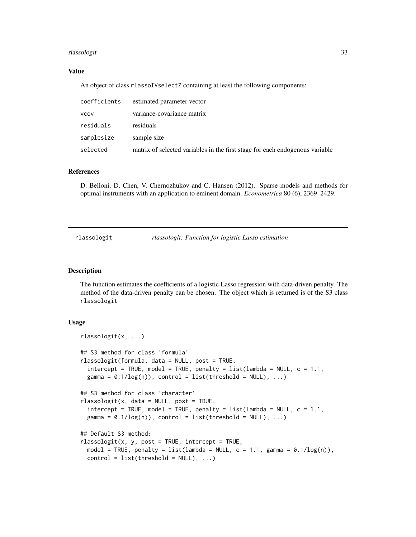# <span id="page-32-0"></span>rlassologit 33

# Value

An object of class rlassoIVselectZ containing at least the following components:

| coefficients | estimated parameter vector                                                   |
|--------------|------------------------------------------------------------------------------|
| <b>VCOV</b>  | variance-covariance matrix                                                   |
| residuals    | residuals                                                                    |
| samplesize   | sample size                                                                  |
| selected     | matrix of selected variables in the first stage for each endogenous variable |

#### References

D. Belloni, D. Chen, V. Chernozhukov and C. Hansen (2012). Sparse models and methods for optimal instruments with an application to eminent domain. *Econometrica* 80 (6), 2369–2429.

rlassologit *rlassologit: Function for logistic Lasso estimation*

### Description

The function estimates the coefficients of a logistic Lasso regression with data-driven penalty. The method of the data-driven penalty can be chosen. The object which is returned is of the S3 class rlassologit

#### Usage

```
rlassologit(x, ...)
## S3 method for class 'formula'
rlassologit(formula, data = NULL, post = TRUE,
  intercept = TRUE, model = TRUE, penalty = list(lambda = NULL, c = 1.1,gamma = 0.1/\log(n), control = list(threshold = NULL), ...)
## S3 method for class 'character'
rlassologit(x, data = NULL, post = TRUE,
  intercept = TRUE, model = TRUE, penalty = list(lambda = NULL, c = 1.1,gamma = 0.1/\log(n), control = list(threshold = NULL), ...)
## Default S3 method:
rlassologit(x, y, post = TRUE, intercept = TRUE,
 model = TRUE, penalty = list(lambda = NULL, c = 1.1, gamma = 0.1/log(n)),
 control = list(threshold = NULL), ...
```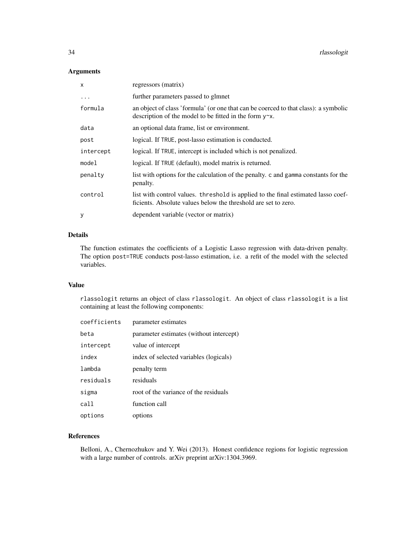# Arguments

| $\times$  | regressors (matrix)                                                                                                                                   |
|-----------|-------------------------------------------------------------------------------------------------------------------------------------------------------|
| $\ddots$  | further parameters passed to glmnet                                                                                                                   |
| formula   | an object of class 'formula' (or one that can be coerced to that class): a symbolic<br>description of the model to be fitted in the form $y \sim x$ . |
| data      | an optional data frame, list or environment.                                                                                                          |
| post      | logical. If TRUE, post-lasso estimation is conducted.                                                                                                 |
| intercept | logical. If TRUE, intercept is included which is not penalized.                                                                                       |
| model     | logical. If TRUE (default), model matrix is returned.                                                                                                 |
| penalty   | list with options for the calculation of the penalty. c and gamma constants for the<br>penalty.                                                       |
| control   | list with control values. threshold is applied to the final estimated lasso coef-<br>ficients. Absolute values below the threshold are set to zero.   |
| У         | dependent variable (vector or matrix)                                                                                                                 |

# Details

The function estimates the coefficients of a Logistic Lasso regression with data-driven penalty. The option post=TRUE conducts post-lasso estimation, i.e. a refit of the model with the selected variables.

# Value

rlassologit returns an object of class rlassologit. An object of class rlassologit is a list containing at least the following components:

| coefficients | parameter estimates                     |
|--------------|-----------------------------------------|
| beta         | parameter estimates (without intercept) |
| intercept    | value of intercept                      |
| index        | index of selected variables (logicals)  |
| lambda       | penalty term                            |
| residuals    | residuals                               |
| sigma        | root of the variance of the residuals   |
| call         | function call                           |
| options      | options                                 |

# References

Belloni, A., Chernozhukov and Y. Wei (2013). Honest confidence regions for logistic regression with a large number of controls. arXiv preprint arXiv:1304.3969.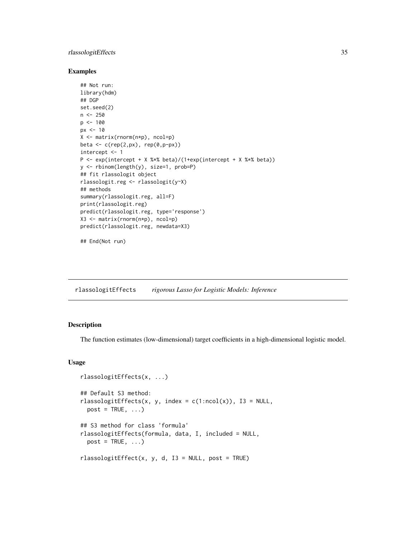# <span id="page-34-0"></span>rlassologitEffects 35

#### Examples

```
## Not run:
library(hdm)
## DGP
set.seed(2)
n < -250p <- 100
px <- 10
X <- matrix(rnorm(n*p), ncol=p)
beta <- c(rep(2,px), rep(0,p-px))
intercept <- 1
P <- exp(intercept + X %*% beta)/(1+exp(intercept + X %*% beta))
y <- rbinom(length(y), size=1, prob=P)
## fit rlassologit object
rlassologit.reg <- rlassologit(y~X)
## methods
summary(rlassologit.reg, all=F)
print(rlassologit.reg)
predict(rlassologit.reg, type='response')
X3 <- matrix(rnorm(n*p), ncol=p)
predict(rlassologit.reg, newdata=X3)
```
## End(Not run)

rlassologitEffects *rigorous Lasso for Logistic Models: Inference*

# Description

The function estimates (low-dimensional) target coefficients in a high-dimensional logistic model.

# Usage

```
rlassologitEffects(x, ...)
## Default S3 method:
rlassologitEffects(x, y, index = c(1:ncol(x)), I3 = NULL,
 post = TRUE, ...## S3 method for class 'formula'
rlassologitEffects(formula, data, I, included = NULL,
 post = TRUE, ...rlassologitEffect(x, y, d, I3 = NULL, post = TRUE)
```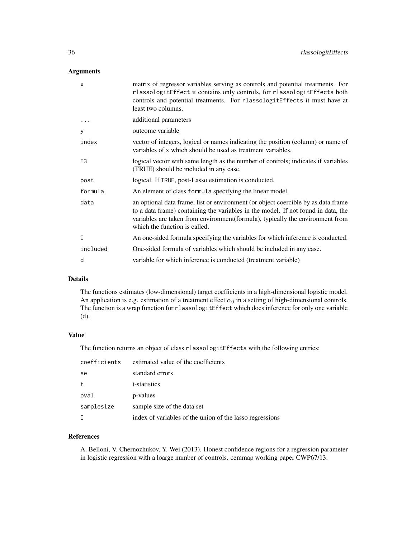# Arguments

| X        | matrix of regressor variables serving as controls and potential treatments. For<br>rlassologitEffect it contains only controls, for rlassologitEffects both<br>controls and potential treatments. For rlassologitEffects it must have at<br>least two columns.                            |
|----------|-------------------------------------------------------------------------------------------------------------------------------------------------------------------------------------------------------------------------------------------------------------------------------------------|
| .        | additional parameters                                                                                                                                                                                                                                                                     |
| y        | outcome variable                                                                                                                                                                                                                                                                          |
| index    | vector of integers, logical or names indicating the position (column) or name of<br>variables of x which should be used as treatment variables.                                                                                                                                           |
| I3       | logical vector with same length as the number of controls; indicates if variables<br>(TRUE) should be included in any case.                                                                                                                                                               |
| post     | logical. If TRUE, post-Lasso estimation is conducted.                                                                                                                                                                                                                                     |
| formula  | An element of class formula specifying the linear model.                                                                                                                                                                                                                                  |
| data     | an optional data frame, list or environment (or object coercible by as data frame<br>to a data frame) containing the variables in the model. If not found in data, the<br>variables are taken from environment (formula), typically the environment from<br>which the function is called. |
| I        | An one-sided formula specifying the variables for which inference is conducted.                                                                                                                                                                                                           |
| included | One-sided formula of variables which should be included in any case.                                                                                                                                                                                                                      |
| d        | variable for which inference is conducted (treatment variable)                                                                                                                                                                                                                            |
|          |                                                                                                                                                                                                                                                                                           |

# Details

The functions estimates (low-dimensional) target coefficients in a high-dimensional logistic model. An application is e.g. estimation of a treatment effect  $\alpha_0$  in a setting of high-dimensional controls. The function is a wrap function for rlassologitEffect which does inference for only one variable (d).

# Value

The function returns an object of class rlassologitEffects with the following entries:

| coefficients | estimated value of the coefficients                      |
|--------------|----------------------------------------------------------|
| se           | standard errors                                          |
| t            | t-statistics                                             |
| pval         | p-values                                                 |
| samplesize   | sample size of the data set                              |
|              | index of variables of the union of the lasso regressions |

# References

A. Belloni, V. Chernozhukov, Y. Wei (2013). Honest confidence regions for a regression parameter in logistic regression with a loarge number of controls. cemmap working paper CWP67/13.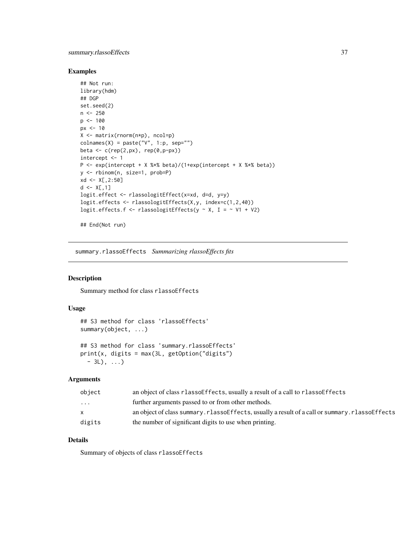# <span id="page-36-0"></span>summary.rlassoEffects 37

#### Examples

```
## Not run:
library(hdm)
## DGP
set.seed(2)
n < -250p \le -100px <- 10
X <- matrix(rnorm(n*p), ncol=p)
colnames(X) = paste("V", 1:p, sep="")
beta <- c(rep(2,px), rep(0,p-px))
intercept <- 1
P <- exp(intercept + X %*% beta)/(1+exp(intercept + X %*% beta))
y <- rbinom(n, size=1, prob=P)
xd <- X[,2:50]
d \leq X[, 1]
logit.effect <- rlassologitEffect(x=xd, d=d, y=y)
logit.effects <- rlassologitEffects(X,y, index=c(1,2,40))
logit.effects.f <- rlassologitEffects(y \sim X, I = \sim V1 + V2)
```
## End(Not run)

<span id="page-36-1"></span>summary.rlassoEffects *Summarizing rlassoEffects fits*

# Description

Summary method for class rlassoEffects

#### Usage

```
## S3 method for class 'rlassoEffects'
summary(object, ...)
```

```
## S3 method for class 'summary.rlassoEffects'
print(x, digits = max(3L, getOption("digits")
  - 3L), ...)
```
# Arguments

| object                  | an object of class rlasso Effects, usually a result of a call to rlasso Effects                 |
|-------------------------|-------------------------------------------------------------------------------------------------|
| $\cdot$ $\cdot$ $\cdot$ | further arguments passed to or from other methods.                                              |
|                         | an object of class summary. rlassofffects, usually a result of a call or summary. rlassofffects |
| digits                  | the number of significant digits to use when printing.                                          |

# Details

Summary of objects of class rlassoEffects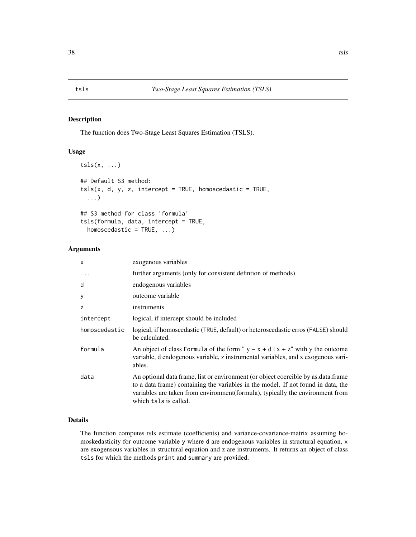# Description

The function does Two-Stage Least Squares Estimation (TSLS).

#### Usage

```
tsls(x, \ldots)## Default S3 method:
tsls(x, d, y, z, intercept = TRUE, homoscedastic = TRUE,
  ...)
## S3 method for class 'formula'
tsls(formula, data, intercept = TRUE,
  homoscedastic = TRUE, ...)
```
# Arguments

| X             | exogenous variables                                                                                                                                                                                                                                                              |
|---------------|----------------------------------------------------------------------------------------------------------------------------------------------------------------------------------------------------------------------------------------------------------------------------------|
|               | further arguments (only for consistent defintion of methods)                                                                                                                                                                                                                     |
| d             | endogenous variables                                                                                                                                                                                                                                                             |
| У             | outcome variable                                                                                                                                                                                                                                                                 |
| z             | instruments                                                                                                                                                                                                                                                                      |
| intercept     | logical, if intercept should be included                                                                                                                                                                                                                                         |
| homoscedastic | logical, if homoscedastic (TRUE, default) or heteroscedastic erros (FALSE) should<br>be calculated.                                                                                                                                                                              |
| formula       | An object of class Formula of the form " $y \sim x + d   x + z$ " with y the outcome<br>variable, d endogenous variable, z instrumental variables, and x exogenous vari-<br>ables.                                                                                               |
| data          | An optional data frame, list or environment (or object coercible by as data frame<br>to a data frame) containing the variables in the model. If not found in data, the<br>variables are taken from environment(formula), typically the environment from<br>which tsls is called. |

#### Details

The function computes tsls estimate (coefficients) and variance-covariance-matrix assuming homoskedasticity for outcome variable y where d are endogenous variables in structural equation, x are exogensous variables in structural equation and z are instruments. It returns an object of class tsls for which the methods print and summary are provided.

<span id="page-37-0"></span>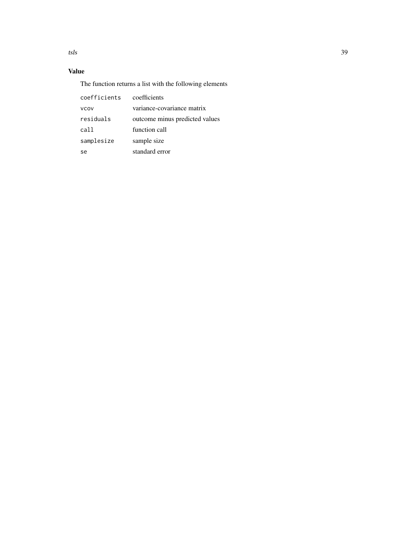tsls 39

# Value

The function returns a list with the following elements

| coefficients | coefficients                   |
|--------------|--------------------------------|
| vcov         | variance-covariance matrix     |
| residuals    | outcome minus predicted values |
| call         | function call                  |
| samplesize   | sample size                    |
| se           | standard error                 |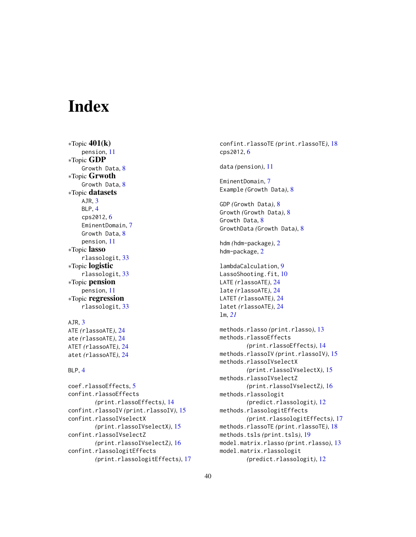# <span id="page-39-0"></span>**Index**

 $*$ Topic 401( $k$ ) pension, [11](#page-10-0) ∗Topic GDP Growth Data, [8](#page-7-0) ∗Topic Grwoth Growth Data, [8](#page-7-0) ∗Topic datasets AJR, [3](#page-2-0) BLP, [4](#page-3-0) cps2012, [6](#page-5-0) EminentDomain, [7](#page-6-0) Growth Data, [8](#page-7-0) pension, [11](#page-10-0) ∗Topic lasso rlassologit, [33](#page-32-0) ∗Topic logistic rlassologit, [33](#page-32-0) ∗Topic pension pension, [11](#page-10-0) ∗Topic regression rlassologit, [33](#page-32-0)

# AJR, [3](#page-2-0)

ATE *(*rlassoATE*)*, [24](#page-23-0) ate *(*rlassoATE*)*, [24](#page-23-0) ATET *(*rlassoATE*)*, [24](#page-23-0) atet *(*rlassoATE*)*, [24](#page-23-0)

#### BLP, [4](#page-3-0)

coef.rlassoEffects, [5](#page-4-0) confint.rlassoEffects *(*print.rlassoEffects*)*, [14](#page-13-0) confint.rlassoIV *(*print.rlassoIV*)*, [15](#page-14-0) confint.rlassoIVselectX *(*print.rlassoIVselectX*)*, [15](#page-14-0) confint.rlassoIVselectZ *(*print.rlassoIVselectZ*)*, [16](#page-15-0) confint.rlassologitEffects *(*print.rlassologitEffects*)*, [17](#page-16-0) confint.rlassoTE *(*print.rlassoTE*)*, [18](#page-17-0) cps2012, [6](#page-5-0) data *(*pension*)*, [11](#page-10-0) EminentDomain, [7](#page-6-0) Example *(*Growth Data*)*, [8](#page-7-0) GDP *(*Growth Data*)*, [8](#page-7-0) Growth *(*Growth Data*)*, [8](#page-7-0) Growth Data, [8](#page-7-0) GrowthData *(*Growth Data*)*, [8](#page-7-0) hdm *(*hdm-package*)*, [2](#page-1-0) hdm-package, [2](#page-1-0) lambdaCalculation, [9](#page-8-0) LassoShooting.fit, [10](#page-9-0) LATE *(*rlassoATE*)*, [24](#page-23-0) late *(*rlassoATE*)*, [24](#page-23-0) LATET *(*rlassoATE*)*, [24](#page-23-0) latet *(*rlassoATE*)*, [24](#page-23-0) lm, *[21](#page-20-0)* methods.rlasso *(*print.rlasso*)*, [13](#page-12-0) methods.rlassoEffects *(*print.rlassoEffects*)*, [14](#page-13-0) methods.rlassoIV *(*print.rlassoIV*)*, [15](#page-14-0) methods.rlassoIVselectX *(*print.rlassoIVselectX*)*, [15](#page-14-0) methods.rlassoIVselectZ *(*print.rlassoIVselectZ*)*, [16](#page-15-0) methods.rlassologit *(*predict.rlassologit*)*, [12](#page-11-0) methods.rlassologitEffects *(*print.rlassologitEffects*)*, [17](#page-16-0) methods.rlassoTE *(*print.rlassoTE*)*, [18](#page-17-0) methods.tsls *(*print.tsls*)*, [19](#page-18-0) model.matrix.rlasso *(*print.rlasso*)*, [13](#page-12-0) model.matrix.rlassologit

*(*predict.rlassologit*)*, [12](#page-11-0)